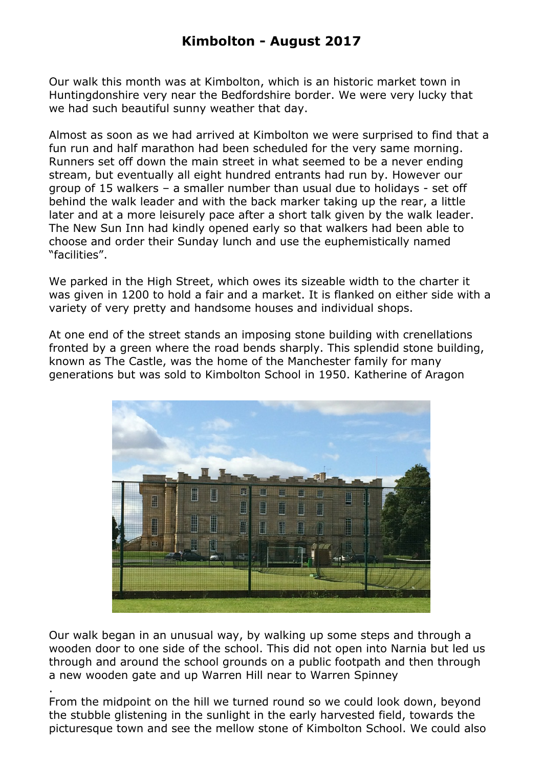Our walk this month was at Kimbolton, which is an historic market town in Huntingdonshire very near the Bedfordshire border. We were very lucky that we had such beautiful sunny weather that day.

Almost as soon as we had arrived at Kimbolton we were surprised to find that a fun run and half marathon had been scheduled for the very same morning. Runners set off down the main street in what seemed to be a never ending stream, but eventually all eight hundred entrants had run by. However our group of 15 walkers – a smaller number than usual due to holidays - set off behind the walk leader and with the back marker taking up the rear, a little later and at a more leisurely pace after a short talk given by the walk leader. The New Sun Inn had kindly opened early so that walkers had been able to choose and order their Sunday lunch and use the euphemistically named "facilities".

We parked in the High Street, which owes its sizeable width to the charter it was given in 1200 to hold a fair and a market. It is flanked on either side with a variety of very pretty and handsome houses and individual shops.

At one end of the street stands an imposing stone building with crenellations fronted by a green where the road bends sharply. This splendid stone building, known as The Castle, was the home of the Manchester family for many generations but was sold to Kimbolton School in 1950. Katherine of Aragon



Our walk began in an unusual way, by walking up some steps and through a wooden door to one side of the school. This did not open into Narnia but led us through and around the school grounds on a public footpath and then through a new wooden gate and up Warren Hill near to Warren Spinney

. From the midpoint on the hill we turned round so we could look down, beyond the stubble glistening in the sunlight in the early harvested field, towards the picturesque town and see the mellow stone of Kimbolton School. We could also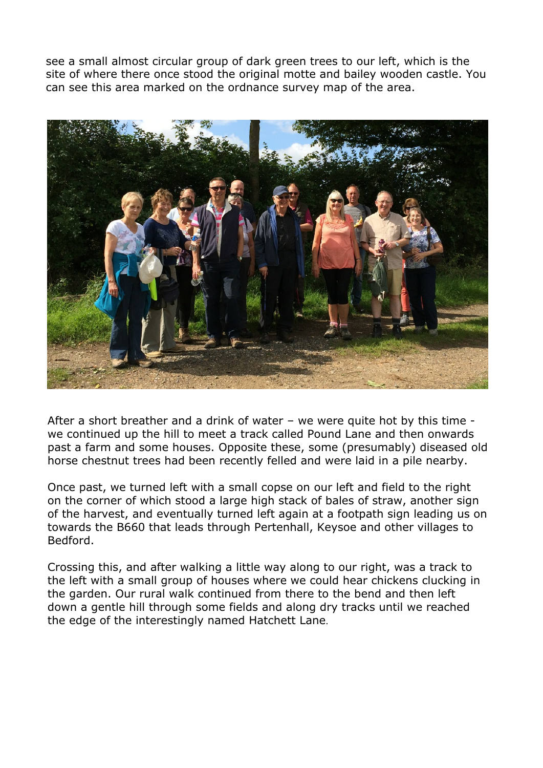see a small almost circular group of dark green trees to our left, which is the site of where there once stood the original motte and bailey wooden castle. You can see this area marked on the ordnance survey map of the area.



After a short breather and a drink of water – we were quite hot by this time we continued up the hill to meet a track called Pound Lane and then onwards past a farm and some houses. Opposite these, some (presumably) diseased old horse chestnut trees had been recently felled and were laid in a pile nearby.

Once past, we turned left with a small copse on our left and field to the right on the corner of which stood a large high stack of bales of straw, another sign of the harvest, and eventually turned left again at a footpath sign leading us on towards the B660 that leads through Pertenhall, Keysoe and other villages to Bedford.

Crossing this, and after walking a little way along to our right, was a track to the left with a small group of houses where we could hear chickens clucking in the garden. Our rural walk continued from there to the bend and then left down a gentle hill through some fields and along dry tracks until we reached the edge of the interestingly named Hatchett Lane.